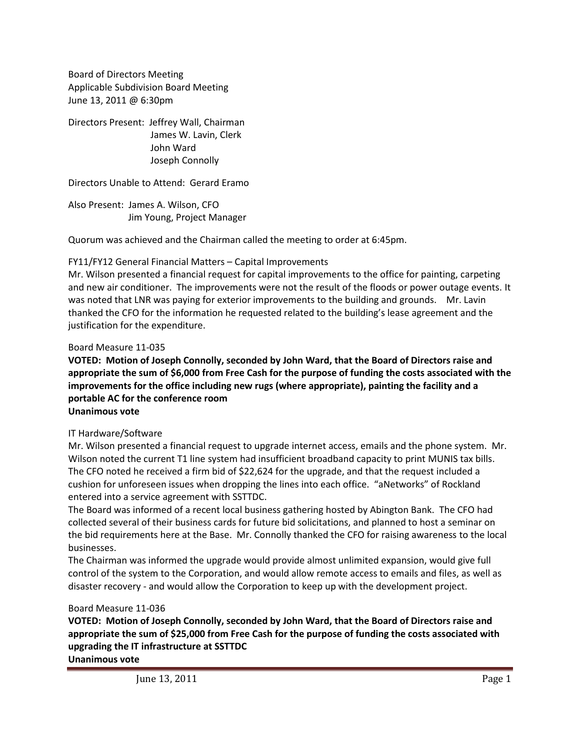Board of Directors Meeting Applicable Subdivision Board Meeting June 13, 2011 @ 6:30pm

Directors Present: Jeffrey Wall, Chairman James W. Lavin, Clerk John Ward Joseph Connolly

Directors Unable to Attend: Gerard Eramo

Also Present: James A. Wilson, CFO Jim Young, Project Manager

Quorum was achieved and the Chairman called the meeting to order at 6:45pm.

## FY11/FY12 General Financial Matters – Capital Improvements

Mr. Wilson presented a financial request for capital improvements to the office for painting, carpeting and new air conditioner. The improvements were not the result of the floods or power outage events. It was noted that LNR was paying for exterior improvements to the building and grounds. Mr. Lavin thanked the CFO for the information he requested related to the building's lease agreement and the justification for the expenditure.

## Board Measure 11-035

# **VOTED: Motion of Joseph Connolly, seconded by John Ward, that the Board of Directors raise and appropriate the sum of \$6,000 from Free Cash for the purpose of funding the costs associated with the improvements for the office including new rugs (where appropriate), painting the facility and a portable AC for the conference room Unanimous vote**

#### IT Hardware/Software

Mr. Wilson presented a financial request to upgrade internet access, emails and the phone system. Mr. Wilson noted the current T1 line system had insufficient broadband capacity to print MUNIS tax bills. The CFO noted he received a firm bid of \$22,624 for the upgrade, and that the request included a cushion for unforeseen issues when dropping the lines into each office. "aNetworks" of Rockland entered into a service agreement with SSTTDC.

The Board was informed of a recent local business gathering hosted by Abington Bank. The CFO had collected several of their business cards for future bid solicitations, and planned to host a seminar on the bid requirements here at the Base. Mr. Connolly thanked the CFO for raising awareness to the local businesses.

The Chairman was informed the upgrade would provide almost unlimited expansion, would give full control of the system to the Corporation, and would allow remote access to emails and files, as well as disaster recovery - and would allow the Corporation to keep up with the development project.

#### Board Measure 11-036

**VOTED: Motion of Joseph Connolly, seconded by John Ward, that the Board of Directors raise and appropriate the sum of \$25,000 from Free Cash for the purpose of funding the costs associated with upgrading the IT infrastructure at SSTTDC Unanimous vote**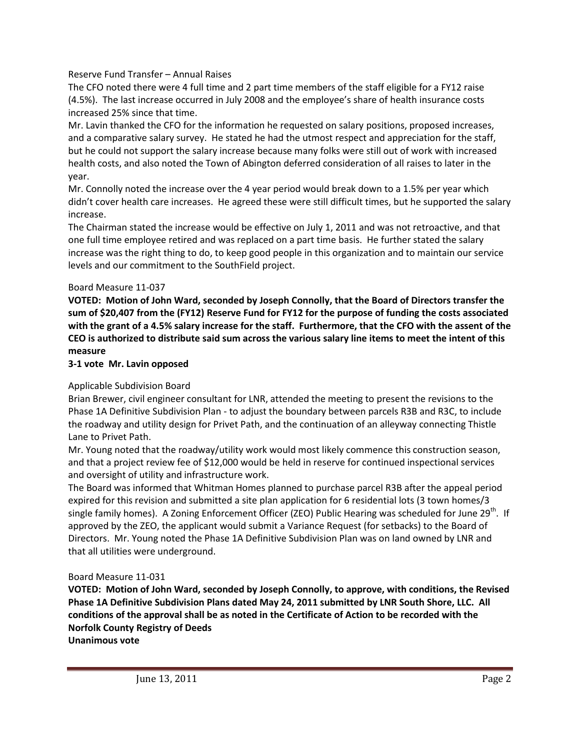## Reserve Fund Transfer – Annual Raises

The CFO noted there were 4 full time and 2 part time members of the staff eligible for a FY12 raise (4.5%). The last increase occurred in July 2008 and the employee's share of health insurance costs increased 25% since that time.

Mr. Lavin thanked the CFO for the information he requested on salary positions, proposed increases, and a comparative salary survey. He stated he had the utmost respect and appreciation for the staff, but he could not support the salary increase because many folks were still out of work with increased health costs, and also noted the Town of Abington deferred consideration of all raises to later in the year.

Mr. Connolly noted the increase over the 4 year period would break down to a 1.5% per year which didn't cover health care increases. He agreed these were still difficult times, but he supported the salary increase.

The Chairman stated the increase would be effective on July 1, 2011 and was not retroactive, and that one full time employee retired and was replaced on a part time basis. He further stated the salary increase was the right thing to do, to keep good people in this organization and to maintain our service levels and our commitment to the SouthField project.

## Board Measure 11-037

**VOTED: Motion of John Ward, seconded by Joseph Connolly, that the Board of Directors transfer the sum of \$20,407 from the (FY12) Reserve Fund for FY12 for the purpose of funding the costs associated with the grant of a 4.5% salary increase for the staff. Furthermore, that the CFO with the assent of the CEO is authorized to distribute said sum across the various salary line items to meet the intent of this measure**

## **3-1 vote Mr. Lavin opposed**

# Applicable Subdivision Board

Brian Brewer, civil engineer consultant for LNR, attended the meeting to present the revisions to the Phase 1A Definitive Subdivision Plan - to adjust the boundary between parcels R3B and R3C, to include the roadway and utility design for Privet Path, and the continuation of an alleyway connecting Thistle Lane to Privet Path.

Mr. Young noted that the roadway/utility work would most likely commence this construction season, and that a project review fee of \$12,000 would be held in reserve for continued inspectional services and oversight of utility and infrastructure work.

The Board was informed that Whitman Homes planned to purchase parcel R3B after the appeal period expired for this revision and submitted a site plan application for 6 residential lots (3 town homes/3 single family homes). A Zoning Enforcement Officer (ZEO) Public Hearing was scheduled for June 29<sup>th</sup>. If approved by the ZEO, the applicant would submit a Variance Request (for setbacks) to the Board of Directors. Mr. Young noted the Phase 1A Definitive Subdivision Plan was on land owned by LNR and that all utilities were underground.

#### Board Measure 11-031

**VOTED: Motion of John Ward, seconded by Joseph Connolly, to approve, with conditions, the Revised Phase 1A Definitive Subdivision Plans dated May 24, 2011 submitted by LNR South Shore, LLC. All conditions of the approval shall be as noted in the Certificate of Action to be recorded with the Norfolk County Registry of Deeds**

**Unanimous vote**